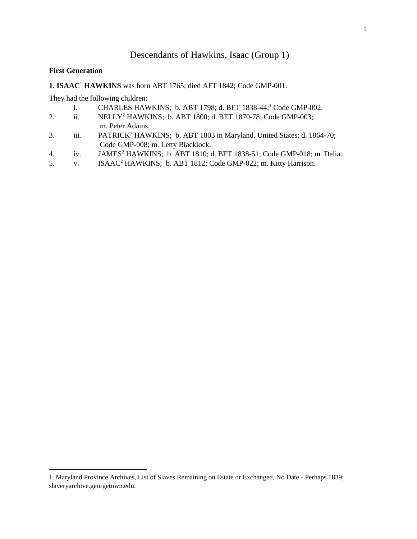# Descendants of Hawkins, Isaac (Group 1)

#### **First Generation**

l

**1. ISAAC**<sup>1</sup> **HAWKINS** was born ABT 1765; died AFT 1842; Code GMP-001.

They had the following children:

- i. CHARLES HAWKINS; b. ABT 1798; d. BET 1838-44;<sup>1</sup> Code GMP-002.
- 2. ii. NELLY<sup>2</sup> HAWKINS; b. ABT 1800; d. BET 1870-78; Code GMP-003; m. Peter Adams.
- 3. iii. PATRICK<sup>2</sup> HAWKINS; b. ABT 1803 in Maryland, United States; d. 1864-70; Code GMP-008; m. Letty Blacklock.
- 4. iv. JAMES<sup>2</sup> HAWKINS; b. ABT 1810; d. BET 1838-51; Code GMP-018; m. Delia.
- 5. v. ISAAC<sup>2</sup> HAWKINS; b. ABT 1812; Code GMP-022; m. Kitty Harrison.

<sup>1.</sup> Maryland Province Archives, List of Slaves Remaining on Estate or Exchanged, No Date - Perhaps 1839; slaveryarchive.georgetown.edu.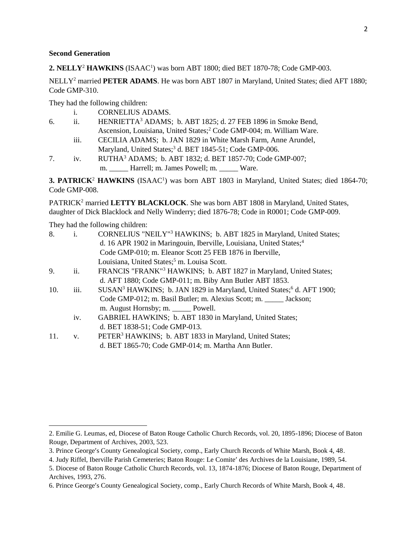#### **Second Generation**

2. NELLY<sup>2</sup> HAWKINS (ISAAC<sup>1</sup>) was born ABT 1800; died BET 1870-78; Code GMP-003.

NELLY<sup>2</sup> married **PETER ADAMS**. He was born ABT 1807 in Maryland, United States; died AFT 1880; Code GMP-310.

They had the following children:

| <b>CORNELIUS ADAMS.</b> |
|-------------------------|
|-------------------------|

| 6. | HENRIETTA <sup>3</sup> ADAMS; b. ABT 1825; d. 27 FEB 1896 in Smoke Bend,         |
|----|----------------------------------------------------------------------------------|
|    | Ascension, Louisiana, United States; <sup>2</sup> Code GMP-004; m. William Ware. |
|    |                                                                                  |

- iii. CECILIA ADAMS; b. JAN 1829 in White Marsh Farm, Anne Arundel, Maryland, United States;<sup>3</sup> d. BET 1845-51; Code GMP-006.
- 7. iv. RUTHA<sup>3</sup> ADAMS; b. ABT 1832; d. BET 1857-70; Code GMP-007; m. \_\_\_\_\_ Harrell; m. James Powell; m. \_\_\_\_\_ Ware.

**3. PATRICK<sup>2</sup> HAWKINS** (ISAAC<sup>1</sup>) was born ABT 1803 in Maryland, United States; died 1864-70; Code GMP-008.

PATRICK<sup>2</sup> married LETTY BLACKLOCK. She was born ABT 1808 in Maryland, United States, daughter of Dick Blacklock and Nelly Winderry; died 1876-78; Code in R0001; Code GMP-009.

They had the following children:

| 8.  | i.          | CORNELIUS "NEILY" <sup>3</sup> HAWKINS; b. ABT 1825 in Maryland, United States;               |
|-----|-------------|-----------------------------------------------------------------------------------------------|
|     |             | d. 16 APR 1902 in Maringouin, Iberville, Louisiana, United States; <sup>4</sup>               |
|     |             | Code GMP-010; m. Eleanor Scott 25 FEB 1876 in Iberville,                                      |
|     |             | Louisiana, United States; <sup>5</sup> m. Louisa Scott.                                       |
| 9.  | ii.         | FRANCIS "FRANK" <sup>3</sup> HAWKINS; b. ABT 1827 in Maryland, United States;                 |
|     |             | d. AFT 1880; Code GMP-011; m. Biby Ann Butler ABT 1853.                                       |
| 10. | iii.        | SUSAN <sup>3</sup> HAWKINS; b. JAN 1829 in Maryland, United States; <sup>6</sup> d. AFT 1900; |
|     |             | Code GMP-012; m. Basil Butler; m. Alexius Scott; m. _____ Jackson;                            |
|     |             | m. August Hornsby; m. ______ Powell.                                                          |
|     | iv.         | GABRIEL HAWKINS; b. ABT 1830 in Maryland, United States;                                      |
|     |             | d. BET 1838-51; Code GMP-013.                                                                 |
| 11. | $V_{\rm A}$ | PETER <sup>3</sup> HAWKINS; b. ABT 1833 in Maryland, United States;                           |
|     |             | d. BET 1865-70; Code GMP-014; m. Martha Ann Butler.                                           |

<sup>2.</sup> Emilie G. Leumas, ed, Diocese of Baton Rouge Catholic Church Records, vol. 20, 1895-1896; Diocese of Baton Rouge, Department of Archives, 2003, 523.

<sup>3.</sup> Prince George's County Genealogical Society, comp., Early Church Records of White Marsh, Book 4, 48.

<sup>4.</sup> Judy Riffel, Iberville Parish Cemeteries; Baton Rouge: Le Comite' des Archives de la Louisiane, 1989, 54.

<sup>5.</sup> Diocese of Baton Rouge Catholic Church Records, vol. 13, 1874-1876; Diocese of Baton Rouge, Department of Archives, 1993, 276.

<sup>6.</sup> Prince George's County Genealogical Society, comp., Early Church Records of White Marsh, Book 4, 48.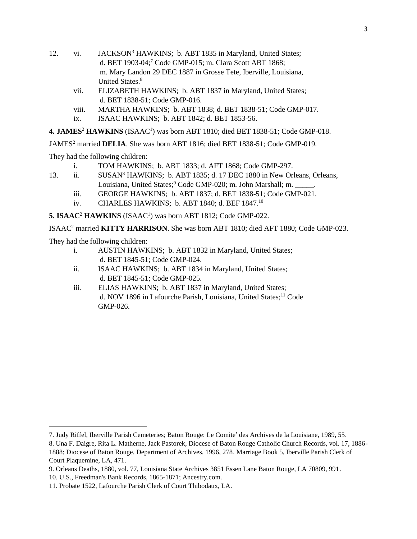- 12. vi. JACKSON<sup>3</sup> HAWKINS; b. ABT 1835 in Maryland, United States; d. BET 1903-04;<sup>7</sup> Code GMP-015; m. Clara Scott ABT 1868; m. Mary Landon 29 DEC 1887 in Grosse Tete, Iberville, Louisiana, United States.<sup>8</sup>
	- vii. ELIZABETH HAWKINS; b. ABT 1837 in Maryland, United States; d. BET 1838-51; Code GMP-016.
	- viii. MARTHA HAWKINS; b. ABT 1838; d. BET 1838-51; Code GMP-017.
	- ix. ISAAC HAWKINS; b. ABT 1842; d. BET 1853-56.

4. JAMES<sup>2</sup> HAWKINS (ISAAC<sup>1</sup>) was born ABT 1810; died BET 1838-51; Code GMP-018.

JAMES<sup>2</sup> married **DELIA**. She was born ABT 1816; died BET 1838-51; Code GMP-019.

They had the following children:

- i. TOM HAWKINS; b. ABT 1833; d. AFT 1868; Code GMP-297.
- 13. ii. SUSAN<sup>3</sup> HAWKINS; b. ABT 1835; d. 17 DEC 1880 in New Orleans, Orleans, Louisiana, United States;<sup>9</sup> Code GMP-020; m. John Marshall; m.
	- iii. GEORGE HAWKINS; b. ABT 1837; d. BET 1838-51; Code GMP-021.
	- iv. CHARLES HAWKINS; b. ABT 1840; d. BEF 1847.<sup>10</sup>

5. ISAAC<sup>2</sup> HAWKINS (ISAAC<sup>1</sup>) was born ABT 1812; Code GMP-022.

ISAAC<sup>2</sup> married **KITTY HARRISON**. She was born ABT 1810; died AFT 1880; Code GMP-023.

They had the following children:

 $\overline{a}$ 

- i. AUSTIN HAWKINS; b. ABT 1832 in Maryland, United States; d. BET 1845-51; Code GMP-024.
- ii. ISAAC HAWKINS; b. ABT 1834 in Maryland, United States; d. BET 1845-51; Code GMP-025.
- iii. ELIAS HAWKINS; b. ABT 1837 in Maryland, United States; d. NOV 1896 in Lafourche Parish, Louisiana, United States;<sup>11</sup> Code GMP-026.

<sup>7.</sup> Judy Riffel, Iberville Parish Cemeteries; Baton Rouge: Le Comite' des Archives de la Louisiane, 1989, 55.

<sup>8.</sup> Una F. Daigre, Rita L. Matherne, Jack Pastorek, Diocese of Baton Rouge Catholic Church Records, vol. 17, 1886- 1888; Diocese of Baton Rouge, Department of Archives, 1996, 278. Marriage Book 5, Iberville Parish Clerk of Court Plaquemine, LA, 471.

<sup>9.</sup> Orleans Deaths, 1880, vol. 77, Louisiana State Archives 3851 Essen Lane Baton Rouge, LA 70809, 991.

<sup>10.</sup> U.S., Freedman's Bank Records, 1865-1871; Ancestry.com.

<sup>11.</sup> Probate 1522, Lafourche Parish Clerk of Court Thibodaux, LA.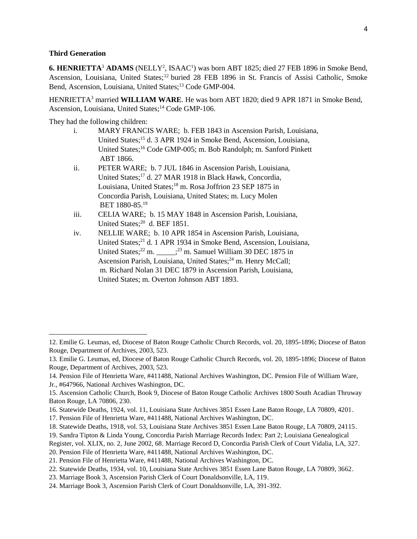#### **Third Generation**

 $\overline{a}$ 

6. HENRIETTA<sup>3</sup> ADAMS (NELLY<sup>2</sup>, ISAAC<sup>1</sup>) was born ABT 1825; died 27 FEB 1896 in Smoke Bend, Ascension, Louisiana, United States;<sup>12</sup> buried 28 FEB 1896 in St. Francis of Assisi Catholic, Smoke Bend, Ascension, Louisiana, United States;<sup>13</sup> Code GMP-004.

HENRIETTA<sup>3</sup> married **WILLIAM WARE**. He was born ABT 1820; died 9 APR 1871 in Smoke Bend, Ascension, Louisiana, United States;<sup>14</sup> Code GMP-106.

They had the following children:

- i. MARY FRANCIS WARE; b. FEB 1843 in Ascension Parish, Louisiana, United States;<sup>15</sup> d. 3 APR 1924 in Smoke Bend, Ascension, Louisiana, United States;<sup>16</sup> Code GMP-005; m. Bob Randolph; m. Sanford Pinkett ABT 1866.
- ii. PETER WARE; b. 7 JUL 1846 in Ascension Parish, Louisiana, United States;<sup>17</sup> d. 27 MAR 1918 in Black Hawk, Concordia, Louisiana, United States;<sup>18</sup> m. Rosa Joffrion 23 SEP 1875 in Concordia Parish, Louisiana, United States; m. Lucy Molen BET 1880-85.<sup>19</sup>
- iii. CELIA WARE; b. 15 MAY 1848 in Ascension Parish, Louisiana, United States; $^{20}$  d. BEF 1851.
- iv. NELLIE WARE; b. 10 APR 1854 in Ascension Parish, Louisiana, United States;<sup>21</sup> d. 1 APR 1934 in Smoke Bend, Ascension, Louisiana, United States;<sup>22</sup> m.  $\frac{1}{3}$  m. Samuel William 30 DEC 1875 in Ascension Parish, Louisiana, United States;<sup>24</sup> m. Henry McCall; m. Richard Nolan 31 DEC 1879 in Ascension Parish, Louisiana, United States; m. Overton Johnson ABT 1893.

<sup>12.</sup> Emilie G. Leumas, ed, Diocese of Baton Rouge Catholic Church Records, vol. 20, 1895-1896; Diocese of Baton Rouge, Department of Archives, 2003, 523.

<sup>13.</sup> Emilie G. Leumas, ed, Diocese of Baton Rouge Catholic Church Records, vol. 20, 1895-1896; Diocese of Baton Rouge, Department of Archives, 2003, 523.

<sup>14.</sup> Pension File of Henrietta Ware, #411488, National Archives Washington, DC. Pension File of William Ware, Jr., #647966, National Archives Washington, DC.

<sup>15.</sup> Ascension Catholic Church, Book 9, Diocese of Baton Rouge Catholic Archives 1800 South Acadian Thruway Baton Rouge, LA 70806, 230.

<sup>16.</sup> Statewide Deaths, 1924, vol. 11, Louisiana State Archives 3851 Essen Lane Baton Rouge, LA 70809, 4201.

<sup>17.</sup> Pension File of Henrietta Ware, #411488, National Archives Washington, DC.

<sup>18.</sup> Statewide Deaths, 1918, vol. 53, Louisiana State Archives 3851 Essen Lane Baton Rouge, LA 70809, 24115.

<sup>19.</sup> Sandra Tipton & Linda Young, Concordia Parish Marriage Records Index: Part 2; Louisiana Genealogical Register, vol. XLIX, no. 2, June 2002, 68. Marriage Record D, Concordia Parish Clerk of Court Vidalia, LA, 327.

<sup>20.</sup> Pension File of Henrietta Ware, #411488, National Archives Washington, DC.

<sup>21.</sup> Pension File of Henrietta Ware, #411488, National Archives Washington, DC.

<sup>22.</sup> Statewide Deaths, 1934, vol. 10, Louisiana State Archives 3851 Essen Lane Baton Rouge, LA 70809, 3662.

<sup>23.</sup> Marriage Book 3, Ascension Parish Clerk of Court Donaldsonville, LA, 119.

<sup>24.</sup> Marriage Book 3, Ascension Parish Clerk of Court Donaldsonville, LA, 391-392.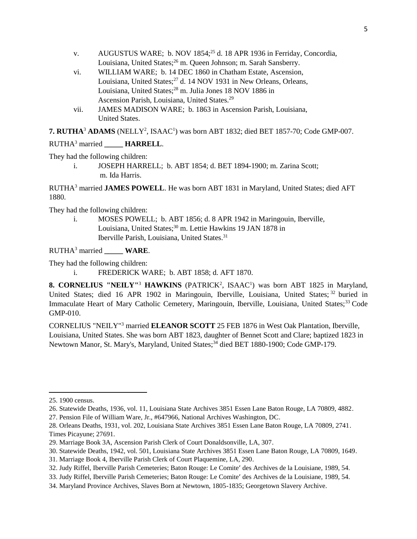- v. AUGUSTUS WARE: b. NOV 1854;<sup>25</sup> d. 18 APR 1936 in Ferriday, Concordia, Louisiana, United States;<sup>26</sup> m. Queen Johnson; m. Sarah Sansberry.
- vi. WILLIAM WARE; b. 14 DEC 1860 in Chatham Estate, Ascension, Louisiana, United States;<sup>27</sup> d. 14 NOV 1931 in New Orleans, Orleans, Louisiana, United States;<sup>28</sup> m. Julia Jones 18 NOV 1886 in Ascension Parish, Louisiana, United States.<sup>29</sup>
- vii. JAMES MADISON WARE; b. 1863 in Ascension Parish, Louisiana, United States.

**7. RUTHA**<sup>3</sup> **ADAMS** (NELLY<sup>2</sup> , ISAAC<sup>1</sup> ) was born ABT 1832; died BET 1857-70; Code GMP-007.

## RUTHA<sup>3</sup> married **HARRELL**.

They had the following children:

i. JOSEPH HARRELL; b. ABT 1854; d. BET 1894-1900; m. Zarina Scott; m. Ida Harris.

RUTHA<sup>3</sup> married **JAMES POWELL**. He was born ABT 1831 in Maryland, United States; died AFT 1880.

They had the following children:

i. MOSES POWELL; b. ABT 1856; d. 8 APR 1942 in Maringouin, Iberville, Louisiana, United States;<sup>30</sup> m. Lettie Hawkins 19 JAN 1878 in Iberville Parish, Louisiana, United States.<sup>31</sup>

RUTHA<sup>3</sup> married **\_\_\_\_\_ WARE**.

They had the following children:

i. FREDERICK WARE; b. ABT 1858; d. AFT 1870.

**8. CORNELIUS "NEILY"<sup>3</sup> HAWKINS** (PATRICK<sup>2</sup>, ISAAC<sup>1</sup>) was born ABT 1825 in Maryland, United States; died 16 APR 1902 in Maringouin, Iberville, Louisiana, United States; <sup>32</sup> buried in Immaculate Heart of Mary Catholic Cemetery, Maringouin, Iberville, Louisiana, United States:<sup>33</sup> Code GMP-010.

CORNELIUS "NEILY"<sup>3</sup> married **ELEANOR SCOTT** 25 FEB 1876 in West Oak Plantation, Iberville, Louisiana, United States. She was born ABT 1823, daughter of Bennet Scott and Clare; baptized 1823 in Newtown Manor, St. Mary's, Maryland, United States;<sup>34</sup> died BET 1880-1900; Code GMP-179.

<sup>25. 1900</sup> census.

<sup>26.</sup> Statewide Deaths, 1936, vol. 11, Louisiana State Archives 3851 Essen Lane Baton Rouge, LA 70809, 4882.

<sup>27.</sup> Pension File of William Ware, Jr., #647966, National Archives Washington, DC.

<sup>28.</sup> Orleans Deaths, 1931, vol. 202, Louisiana State Archives 3851 Essen Lane Baton Rouge, LA 70809, 2741. Times Picayune; 27691.

<sup>29.</sup> Marriage Book 3A, Ascension Parish Clerk of Court Donaldsonville, LA, 307.

<sup>30.</sup> Statewide Deaths, 1942, vol. 501, Louisiana State Archives 3851 Essen Lane Baton Rouge, LA 70809, 1649.

<sup>31.</sup> Marriage Book 4, Iberville Parish Clerk of Court Plaquemine, LA, 290.

<sup>32.</sup> Judy Riffel, Iberville Parish Cemeteries; Baton Rouge: Le Comite' des Archives de la Louisiane, 1989, 54.

<sup>33.</sup> Judy Riffel, Iberville Parish Cemeteries; Baton Rouge: Le Comite' des Archives de la Louisiane, 1989, 54.

<sup>34.</sup> Maryland Province Archives, Slaves Born at Newtown, 1805-1835; Georgetown Slavery Archive.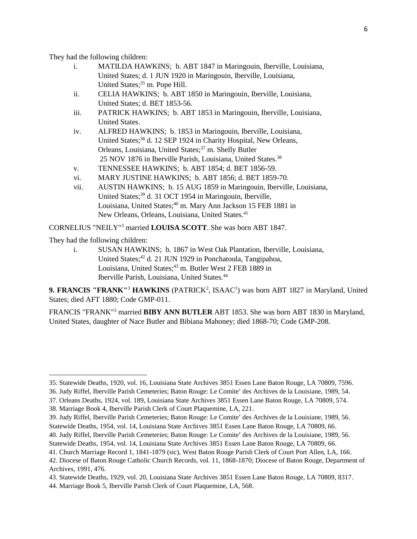They had the following children:

- i. MATILDA HAWKINS; b. ABT 1847 in Maringouin, Iberville, Louisiana, United States; d. 1 JUN 1920 in Maringouin, Iberville, Louisiana, United States;<sup>35</sup> m. Pope Hill.
- ii. CELIA HAWKINS; b. ABT 1850 in Maringouin, Iberville, Louisiana, United States; d. BET 1853-56.
- iii. PATRICK HAWKINS; b. ABT 1853 in Maringouin, Iberville, Louisiana, United States.
- iv. ALFRED HAWKINS; b. 1853 in Maringouin, Iberville, Louisiana, United States;<sup>36</sup> d. 12 SEP 1924 in Charity Hospital, New Orleans, Orleans, Louisiana, United States;<sup>37</sup> m. Shelly Butler 25 NOV 1876 in Iberville Parish, Louisiana, United States.<sup>38</sup>
- v. TENNESSEE HAWKINS; b. ABT 1854; d. BET 1856-59.
- vi. MARY JUSTINE HAWKINS; b. ABT 1856; d. BET 1859-70.
- vii. AUSTIN HAWKINS; b. 15 AUG 1859 in Maringouin, Iberville, Louisiana, United States;<sup>39</sup> d. 31 OCT 1954 in Maringouin, Iberville, Louisiana, United States;<sup>40</sup> m. Mary Ann Jackson 15 FEB 1881 in New Orleans, Orleans, Louisiana, United States.<sup>41</sup>

CORNELIUS "NEILY"<sup>3</sup> married **LOUISA SCOTT**. She was born ABT 1847.

They had the following children:

l

i. SUSAN HAWKINS; b. 1867 in West Oak Plantation, Iberville, Louisiana, United States;<sup>42</sup> d. 21 JUN 1929 in Ponchatoula, Tangipahoa, Louisiana, United States;<sup>43</sup> m. Butler West 2 FEB 1889 in Iberville Parish, Louisiana, United States.<sup>44</sup>

**9. FRANCIS "FRANK"<sup>3</sup> HAWKINS** (PATRICK<sup>2</sup>, ISAAC<sup>1</sup>) was born ABT 1827 in Maryland, United States; died AFT 1880; Code GMP-011.

FRANCIS "FRANK"<sup>3</sup> married **BIBY ANN BUTLER** ABT 1853. She was born ABT 1830 in Maryland, United States, daughter of Nace Butler and Bibiana Mahoney; died 1868-70; Code GMP-208.

<sup>35.</sup> Statewide Deaths, 1920, vol. 16, Louisiana State Archives 3851 Essen Lane Baton Rouge, LA 70809, 7596.

<sup>36.</sup> Judy Riffel, Iberville Parish Cemeteries; Baton Rouge: Le Comite' des Archives de la Louisiane, 1989, 54.

<sup>37.</sup> Orleans Deaths, 1924, vol. 189, Louisiana State Archives 3851 Essen Lane Baton Rouge, LA 70809, 574.

<sup>38.</sup> Marriage Book 4, Iberville Parish Clerk of Court Plaquemine, LA, 221.

<sup>39.</sup> Judy Riffel, Iberville Parish Cemeteries; Baton Rouge: Le Comite' des Archives de la Louisiane, 1989, 56. Statewide Deaths, 1954, vol. 14, Louisiana State Archives 3851 Essen Lane Baton Rouge, LA 70809, 66.

<sup>40.</sup> Judy Riffel, Iberville Parish Cemeteries; Baton Rouge: Le Comite' des Archives de la Louisiane, 1989, 56. Statewide Deaths, 1954, vol. 14, Louisiana State Archives 3851 Essen Lane Baton Rouge, LA 70809, 66.

<sup>41.</sup> Church Marriage Record 1, 1841-1879 (sic), West Baton Rouge Parish Clerk of Court Port Allen, LA, 166.

<sup>42.</sup> Diocese of Baton Rouge Catholic Church Records, vol. 11, 1868-1870; Diocese of Baton Rouge, Department of Archives, 1991, 476.

<sup>43.</sup> Statewide Deaths, 1929, vol. 20, Louisiana State Archives 3851 Essen Lane Baton Rouge, LA 70809, 8317.

<sup>44.</sup> Marriage Book 5, Iberville Parish Clerk of Court Plaquemine, LA, 568.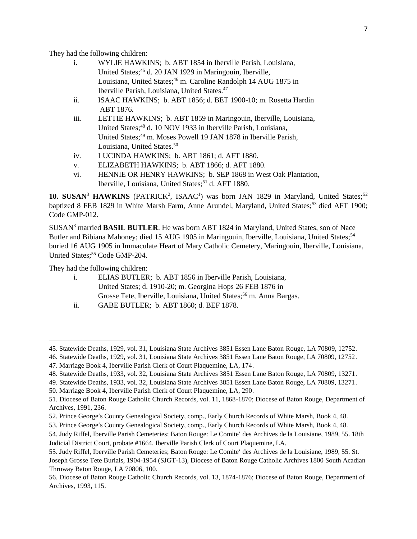They had the following children:

| i. | WYLIE HAWKINS; b. ABT 1854 in Iberville Parish, Louisiana,                  |
|----|-----------------------------------------------------------------------------|
|    | United States; <sup>45</sup> d. 20 JAN 1929 in Maringouin, Iberville,       |
|    | Louisiana, United States; <sup>46</sup> m. Caroline Randolph 14 AUG 1875 in |
|    | Iberville Parish, Louisiana, United States. <sup>47</sup>                   |

- ii. ISAAC HAWKINS; b. ABT 1856; d. BET 1900-10; m. Rosetta Hardin ABT 1876.
- iii. LETTIE HAWKINS; b. ABT 1859 in Maringouin, Iberville, Louisiana, United States;<sup>48</sup> d. 10 NOV 1933 in Iberville Parish, Louisiana, United States;<sup>49</sup> m. Moses Powell 19 JAN 1878 in Iberville Parish, Louisiana, United States.<sup>50</sup>
- iv. LUCINDA HAWKINS; b. ABT 1861; d. AFT 1880.
- v. ELIZABETH HAWKINS; b. ABT 1866; d. AFT 1880.
- vi. HENNIE OR HENRY HAWKINS; b. SEP 1868 in West Oak Plantation, Iberville, Louisiana, United States;<sup>51</sup> d. AFT 1880.

10. SUSAN<sup>3</sup> HAWKINS (PATRICK<sup>2</sup>, ISAAC<sup>1</sup>) was born JAN 1829 in Maryland, United States;<sup>52</sup> baptized 8 FEB 1829 in White Marsh Farm, Anne Arundel, Maryland, United States;<sup>53</sup> died AFT 1900; Code GMP-012.

SUSAN<sup>3</sup> married **BASIL BUTLER**. He was born ABT 1824 in Maryland, United States, son of Nace Butler and Bibiana Mahoney; died 15 AUG 1905 in Maringouin, Iberville, Louisiana, United States;<sup>54</sup> buried 16 AUG 1905 in Immaculate Heart of Mary Catholic Cemetery, Maringouin, Iberville, Louisiana, United States;<sup>55</sup> Code GMP-204.

They had the following children:

- i. ELIAS BUTLER; b. ABT 1856 in Iberville Parish, Louisiana, United States; d. 1910-20; m. Georgina Hops 26 FEB 1876 in Grosse Tete, Iberville, Louisiana, United States;<sup>56</sup> m. Anna Bargas.
- ii. GABE BUTLER; b. ABT 1860; d. BEF 1878.

<sup>45.</sup> Statewide Deaths, 1929, vol. 31, Louisiana State Archives 3851 Essen Lane Baton Rouge, LA 70809, 12752.

<sup>46.</sup> Statewide Deaths, 1929, vol. 31, Louisiana State Archives 3851 Essen Lane Baton Rouge, LA 70809, 12752.

<sup>47.</sup> Marriage Book 4, Iberville Parish Clerk of Court Plaquemine, LA, 174.

<sup>48.</sup> Statewide Deaths, 1933, vol. 32, Louisiana State Archives 3851 Essen Lane Baton Rouge, LA 70809, 13271.

<sup>49.</sup> Statewide Deaths, 1933, vol. 32, Louisiana State Archives 3851 Essen Lane Baton Rouge, LA 70809, 13271.

<sup>50.</sup> Marriage Book 4, Iberville Parish Clerk of Court Plaquemine, LA, 290.

<sup>51.</sup> Diocese of Baton Rouge Catholic Church Records, vol. 11, 1868-1870; Diocese of Baton Rouge, Department of Archives, 1991, 236.

<sup>52.</sup> Prince George's County Genealogical Society, comp., Early Church Records of White Marsh, Book 4, 48.

<sup>53.</sup> Prince George's County Genealogical Society, comp., Early Church Records of White Marsh, Book 4, 48.

<sup>54.</sup> Judy Riffel, Iberville Parish Cemeteries; Baton Rouge: Le Comite' des Archives de la Louisiane, 1989, 55. 18th Judicial District Court, probate #1664, Iberville Parish Clerk of Court Plaquemine, LA.

<sup>55.</sup> Judy Riffel, Iberville Parish Cemeteries; Baton Rouge: Le Comite' des Archives de la Louisiane, 1989, 55. St. Joseph Grosse Tete Burials, 1904-1954 (SJGT-13), Diocese of Baton Rouge Catholic Archives 1800 South Acadian Thruway Baton Rouge, LA 70806, 100.

<sup>56.</sup> Diocese of Baton Rouge Catholic Church Records, vol. 13, 1874-1876; Diocese of Baton Rouge, Department of Archives, 1993, 115.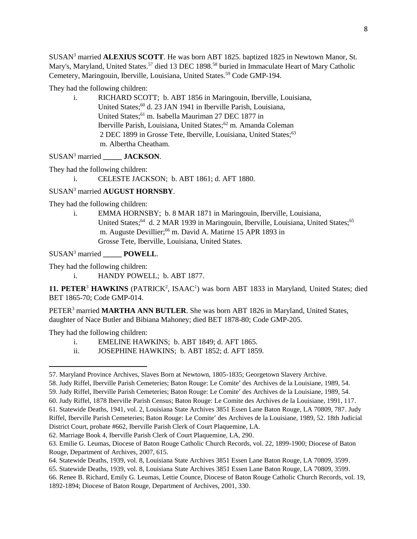SUSAN<sup>3</sup> married **ALEXIUS SCOTT**. He was born ABT 1825. baptized 1825 in Newtown Manor, St. Mary's, Maryland, United States.<sup>57</sup> died 13 DEC 1898.<sup>58</sup> buried in Immaculate Heart of Mary Catholic Cemetery, Maringouin, Iberville, Louisiana, United States.<sup>59</sup> Code GMP-194.

They had the following children:

i. RICHARD SCOTT; b. ABT 1856 in Maringouin, Iberville, Louisiana, United States;<sup>60</sup> d. 23 JAN 1941 in Iberville Parish, Louisiana, United States;<sup>61</sup> m. Isabella Mauriman 27 DEC 1877 in Iberville Parish, Louisiana, United States;<sup>62</sup> m. Amanda Coleman 2 DEC 1899 in Grosse Tete, Iberville, Louisiana, United States;<sup>63</sup> m. Albertha Cheatham.

SUSAN<sup>3</sup> married **JACKSON**.

They had the following children:

i. CELESTE JACKSON; b. ABT 1861; d. AFT 1880.

# SUSAN<sup>3</sup> married **AUGUST HORNSBY**.

They had the following children:

i. EMMA HORNSBY; b. 8 MAR 1871 in Maringouin, Iberville, Louisiana, United States;<sup>64</sup> d. 2 MAR 1939 in Maringouin, Iberville, Louisiana, United States;<sup>65</sup> m. Auguste Devillier;<sup>66</sup> m. David A. Matirne 15 APR 1893 in Grosse Tete, Iberville, Louisiana, United States.

### SUSAN<sup>3</sup> married **POWELL**.

They had the following children:

i. HANDY POWELL; b. ABT 1877.

11. PETER<sup>3</sup> HAWKINS (PATRICK<sup>2</sup>, ISAAC<sup>1</sup>) was born ABT 1833 in Maryland, United States; died BET 1865-70; Code GMP-014.

PETER<sup>3</sup> married **MARTHA ANN BUTLER**. She was born ABT 1826 in Maryland, United States, daughter of Nace Butler and Bibiana Mahoney; died BET 1878-80; Code GMP-205.

They had the following children:

 $\overline{a}$ 

- i. EMELINE HAWKINS; b. ABT 1849; d. AFT 1865.
- ii. JOSEPHINE HAWKINS; b. ABT 1852; d. AFT 1859.

58. Judy Riffel, Iberville Parish Cemeteries; Baton Rouge: Le Comite' des Archives de la Louisiane, 1989, 54.

- 60. Judy Riffel, 1878 Iberville Parish Census; Baton Rouge: Le Comite des Archives de la Louisiane, 1991, 117.
- 61. Statewide Deaths, 1941, vol. 2, Louisiana State Archives 3851 Essen Lane Baton Rouge, LA 70809, 787. Judy Riffel, Iberville Parish Cemeteries; Baton Rouge: Le Comite' des Archives de la Louisiane, 1989, 52. 18th Judicial District Court, probate #662, Iberville Parish Clerk of Court Plaquemine, LA.

62. Marriage Book 4, Iberville Parish Clerk of Court Plaquemine, LA, 290.

66. Renee B. Richard, Emily G. Leumas, Lettie Counce, Diocese of Baton Rouge Catholic Church Records, vol. 19, 1892-1894; Diocese of Baton Rouge, Department of Archives, 2001, 330.

<sup>57.</sup> Maryland Province Archives, Slaves Born at Newtown, 1805-1835; Georgetown Slavery Archive.

<sup>59.</sup> Judy Riffel, Iberville Parish Cemeteries; Baton Rouge: Le Comite' des Archives de la Louisiane, 1989, 54.

<sup>63.</sup> Emilie G. Leumas, Diocese of Baton Rouge Catholic Church Records, vol. 22, 1899-1900; Diocese of Baton Rouge, Department of Archives, 2007, 615.

<sup>64.</sup> Statewide Deaths, 1939, vol. 8, Louisiana State Archives 3851 Essen Lane Baton Rouge, LA 70809, 3599.

<sup>65.</sup> Statewide Deaths, 1939, vol. 8, Louisiana State Archives 3851 Essen Lane Baton Rouge, LA 70809, 3599.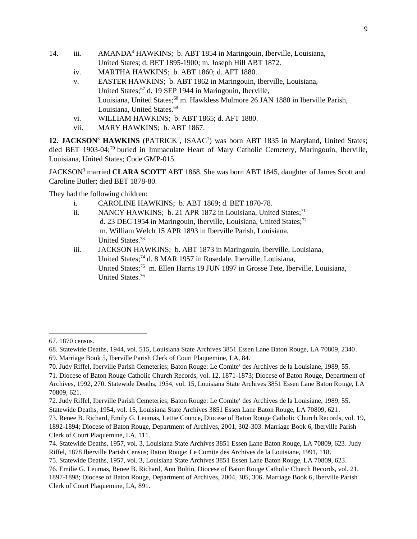- 14. iii. AMANDA<sup>4</sup> HAWKINS; b. ABT 1854 in Maringouin, Iberville, Louisiana, United States; d. BET 1895-1900; m. Joseph Hill ABT 1872.
	- iv. MARTHA HAWKINS; b. ABT 1860; d. AFT 1880.
	- v. EASTER HAWKINS; b. ABT 1862 in Maringouin, Iberville, Louisiana, United States;<sup>67</sup> d. 19 SEP 1944 in Maringouin, Iberville, Louisiana, United States;<sup>68</sup> m. Hawkless Mulmore 26 JAN 1880 in Iberville Parish, Louisiana, United States.<sup>69</sup>
	- vi. WILLIAM HAWKINS; b. ABT 1865; d. AFT 1880.
	- vii. MARY HAWKINS; b. ABT 1867.

12. JACKSON<sup>3</sup> HAWKINS (PATRICK<sup>2</sup>, ISAAC<sup>1</sup>) was born ABT 1835 in Maryland, United States; died BET 1903-04;<sup>70</sup> buried in Immaculate Heart of Mary Catholic Cemetery, Maringouin, Iberville, Louisiana, United States; Code GMP-015.

JACKSON<sup>3</sup> married **CLARA SCOTT** ABT 1868. She was born ABT 1845, daughter of James Scott and Caroline Butler; died BET 1878-80.

They had the following children:

- i. CAROLINE HAWKINS; b. ABT 1869; d. BET 1870-78.
- ii. NANCY HAWKINS; b. 21 APR 1872 in Louisiana, United States;<sup>71</sup> d. 23 DEC 1954 in Maringouin, Iberville, Louisiana, United States;<sup>72</sup> m. William Welch 15 APR 1893 in Iberville Parish, Louisiana, United States.<sup>73</sup>
- iii. JACKSON HAWKINS; b. ABT 1873 in Maringouin, Iberville, Louisiana, United States;<sup>74</sup> d. 8 MAR 1957 in Rosedale, Iberville, Louisiana, United States;<sup>75</sup> m. Ellen Harris 19 JUN 1897 in Grosse Tete, Iberville, Louisiana, United States.<sup>76</sup>

 $\overline{\phantom{a}}$ 

73. Renee B. Richard, Emily G. Leumas, Lettie Counce, Diocese of Baton Rouge Catholic Church Records, vol. 19, 1892-1894; Diocese of Baton Rouge, Department of Archives, 2001, 302-303. Marriage Book 6, Iberville Parish Clerk of Court Plaquemine, LA, 111.

<sup>67. 1870</sup> census.

<sup>68.</sup> Statewide Deaths, 1944, vol. 515, Louisiana State Archives 3851 Essen Lane Baton Rouge, LA 70809, 2340.

<sup>69.</sup> Marriage Book 5, Iberville Parish Clerk of Court Plaquemine, LA, 84.

<sup>70.</sup> Judy Riffel, Iberville Parish Cemeteries; Baton Rouge: Le Comite' des Archives de la Louisiane, 1989, 55.

<sup>71.</sup> Diocese of Baton Rouge Catholic Church Records, vol. 12, 1871-1873; Diocese of Baton Rouge, Department of Archives, 1992, 270. Statewide Deaths, 1954, vol. 15, Louisiana State Archives 3851 Essen Lane Baton Rouge, LA 70809, 621.

<sup>72.</sup> Judy Riffel, Iberville Parish Cemeteries; Baton Rouge: Le Comite' des Archives de la Louisiane, 1989, 55. Statewide Deaths, 1954, vol. 15, Louisiana State Archives 3851 Essen Lane Baton Rouge, LA 70809, 621.

<sup>74.</sup> Statewide Deaths, 1957, vol. 3, Louisiana State Archives 3851 Essen Lane Baton Rouge, LA 70809, 623. Judy Riffel, 1878 Iberville Parish Census; Baton Rouge: Le Comite des Archives de la Louisiane, 1991, 118.

<sup>75.</sup> Statewide Deaths, 1957, vol. 3, Louisiana State Archives 3851 Essen Lane Baton Rouge, LA 70809, 623.

<sup>76.</sup> Emilie G. Leumas, Renee B. Richard, Ann Boltin, Diocese of Baton Rouge Catholic Church Records, vol. 21, 1897-1898; Diocese of Baton Rouge, Department of Archives, 2004, 305, 306. Marriage Book 6, Iberville Parish Clerk of Court Plaquemine, LA, 891.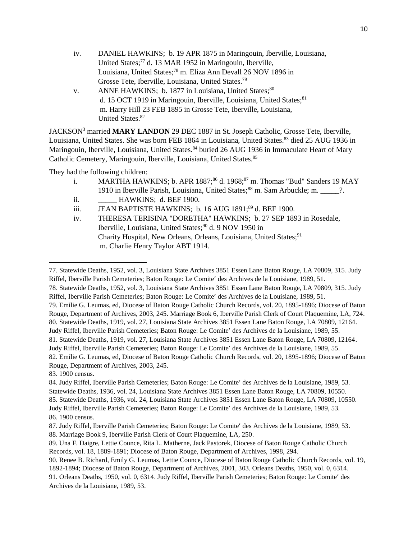- iv. DANIEL HAWKINS; b. 19 APR 1875 in Maringouin, Iberville, Louisiana, United States;<sup>77</sup> d. 13 MAR 1952 in Maringouin, Iberville, Louisiana, United States;<sup>78</sup> m. Eliza Ann Devall 26 NOV 1896 in Grosse Tete, Iberville, Louisiana, United States.<sup>79</sup>
- v. ANNE HAWKINS; b. 1877 in Louisiana, United States;<sup>80</sup> d. 15 OCT 1919 in Maringouin, Iberville, Louisiana, United States;<sup>81</sup> m. Harry Hill 23 FEB 1895 in Grosse Tete, Iberville, Louisiana, United States.<sup>82</sup>

JACKSON<sup>3</sup> married **MARY LANDON** 29 DEC 1887 in St. Joseph Catholic, Grosse Tete, Iberville, Louisiana, United States. She was born FEB 1864 in Louisiana, United States.<sup>83</sup> died 25 AUG 1936 in Maringouin, Iberville, Louisiana, United States.<sup>84</sup> buried 26 AUG 1936 in Immaculate Heart of Mary Catholic Cemetery, Maringouin, Iberville, Louisiana, United States.<sup>85</sup>

They had the following children:

- i. MARTHA HAWKINS; b. APR  $1887$ ;<sup>86</sup> d.  $1968$ ;<sup>87</sup> m. Thomas "Bud" Sanders 19 MAY 1910 in Iberville Parish, Louisiana, United States;<sup>88</sup> m. Sam Arbuckle; m. \_\_\_\_\_?. ii. **HAWKINS**; d. BEF 1900.
- iii. JEAN BAPTISTE HAWKINS; b. 16 AUG 1891;<sup>89</sup> d. BEF 1900.
- iv. THERESA TERISINA "DORETHA" HAWKINS; b. 27 SEP 1893 in Rosedale, Iberville, Louisiana, United States;<sup>90</sup> d. 9 NOV 1950 in Charity Hospital, New Orleans, Orleans, Louisiana, United States;<sup>91</sup> m. Charlie Henry Taylor ABT 1914.

- 79. Emilie G. Leumas, ed, Diocese of Baton Rouge Catholic Church Records, vol. 20, 1895-1896; Diocese of Baton Rouge, Department of Archives, 2003, 245. Marriage Book 6, Iberville Parish Clerk of Court Plaquemine, LA, 724. 80. Statewide Deaths, 1919, vol. 27, Louisiana State Archives 3851 Essen Lane Baton Rouge, LA 70809, 12164. Judy Riffel, Iberville Parish Cemeteries; Baton Rouge: Le Comite' des Archives de la Louisiane, 1989, 55.
- 81. Statewide Deaths, 1919, vol. 27, Louisiana State Archives 3851 Essen Lane Baton Rouge, LA 70809, 12164. Judy Riffel, Iberville Parish Cemeteries; Baton Rouge: Le Comite' des Archives de la Louisiane, 1989, 55.

82. Emilie G. Leumas, ed, Diocese of Baton Rouge Catholic Church Records, vol. 20, 1895-1896; Diocese of Baton Rouge, Department of Archives, 2003, 245.

83. 1900 census.

<sup>77.</sup> Statewide Deaths, 1952, vol. 3, Louisiana State Archives 3851 Essen Lane Baton Rouge, LA 70809, 315. Judy Riffel, Iberville Parish Cemeteries; Baton Rouge: Le Comite' des Archives de la Louisiane, 1989, 51.

<sup>78.</sup> Statewide Deaths, 1952, vol. 3, Louisiana State Archives 3851 Essen Lane Baton Rouge, LA 70809, 315. Judy Riffel, Iberville Parish Cemeteries; Baton Rouge: Le Comite' des Archives de la Louisiane, 1989, 51.

<sup>84.</sup> Judy Riffel, Iberville Parish Cemeteries; Baton Rouge: Le Comite' des Archives de la Louisiane, 1989, 53. Statewide Deaths, 1936, vol. 24, Louisiana State Archives 3851 Essen Lane Baton Rouge, LA 70809, 10550. 85. Statewide Deaths, 1936, vol. 24, Louisiana State Archives 3851 Essen Lane Baton Rouge, LA 70809, 10550. Judy Riffel, Iberville Parish Cemeteries; Baton Rouge: Le Comite' des Archives de la Louisiane, 1989, 53. 86. 1900 census.

<sup>87.</sup> Judy Riffel, Iberville Parish Cemeteries; Baton Rouge: Le Comite' des Archives de la Louisiane, 1989, 53. 88. Marriage Book 9, Iberville Parish Clerk of Court Plaquemine, LA, 250.

<sup>89.</sup> Una F. Daigre, Lettie Counce, Rita L. Matherne, Jack Pastorek, Diocese of Baton Rouge Catholic Church Records, vol. 18, 1889-1891; Diocese of Baton Rouge, Department of Archives, 1998, 294.

<sup>90.</sup> Renee B. Richard, Emily G. Leumas, Lettie Counce, Diocese of Baton Rouge Catholic Church Records, vol. 19, 1892-1894; Diocese of Baton Rouge, Department of Archives, 2001, 303. Orleans Deaths, 1950, vol. 0, 6314. 91. Orleans Deaths, 1950, vol. 0, 6314. Judy Riffel, Iberville Parish Cemeteries; Baton Rouge: Le Comite' des Archives de la Louisiane, 1989, 53.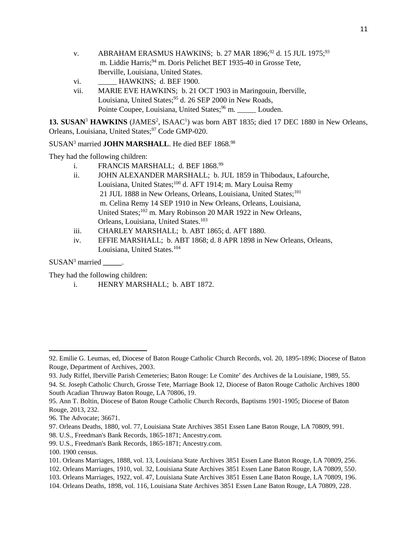- v. ABRAHAM ERASMUS HAWKINS: b. 27 MAR 1896;<sup>92</sup> d. 15 JUL 1975;<sup>93</sup> m. Liddie Harris;<sup>94</sup> m. Doris Pelichet BET 1935-40 in Grosse Tete, Iberville, Louisiana, United States.
- vi. **HAWKINS**; d. BEF 1900.
- vii. MARIE EVE HAWKINS; b. 21 OCT 1903 in Maringouin, Iberville, Louisiana, United States;<sup>95</sup> d. 26 SEP 2000 in New Roads, Pointe Coupee, Louisiana, United States;<sup>96</sup> m. Louden.

13. SUSAN<sup>3</sup> HAWKINS (JAMES<sup>2</sup>, ISAAC<sup>1</sup>) was born ABT 1835; died 17 DEC 1880 in New Orleans, Orleans, Louisiana, United States;<sup>97</sup> Code GMP-020.

# SUSAN<sup>3</sup> married **JOHN MARSHALL**. He died BEF 1868.98

They had the following children:

- i. FRANCIS MARSHALL; d. BEF 1868.<sup>99</sup>
- ii. JOHN ALEXANDER MARSHALL; b. JUL 1859 in Thibodaux, Lafourche, Louisiana, United States;<sup>100</sup> d. AFT 1914; m. Mary Louisa Remy 21 JUL 1888 in New Orleans, Orleans, Louisiana, United States;<sup>101</sup> m. Celina Remy 14 SEP 1910 in New Orleans, Orleans, Louisiana, United States;<sup>102</sup> m. Mary Robinson 20 MAR 1922 in New Orleans, Orleans, Louisiana, United States.<sup>103</sup>
- iii. CHARLEY MARSHALL; b. ABT 1865; d. AFT 1880.
- iv. EFFIE MARSHALL; b. ABT 1868; d. 8 APR 1898 in New Orleans, Orleans, Louisiana, United States.<sup>104</sup>

SUSAN<sup>3</sup> married **\_\_\_\_\_**.

They had the following children:

i. HENRY MARSHALL; b. ABT 1872.

- 97. Orleans Deaths, 1880, vol. 77, Louisiana State Archives 3851 Essen Lane Baton Rouge, LA 70809, 991.
- 98. U.S., Freedman's Bank Records, 1865-1871; Ancestry.com.
- 99. U.S., Freedman's Bank Records, 1865-1871; Ancestry.com.

 $\overline{a}$ 

<sup>92.</sup> Emilie G. Leumas, ed, Diocese of Baton Rouge Catholic Church Records, vol. 20, 1895-1896; Diocese of Baton Rouge, Department of Archives, 2003.

<sup>93.</sup> Judy Riffel, Iberville Parish Cemeteries; Baton Rouge: Le Comite' des Archives de la Louisiane, 1989, 55.

<sup>94.</sup> St. Joseph Catholic Church, Grosse Tete, Marriage Book 12, Diocese of Baton Rouge Catholic Archives 1800 South Acadian Thruway Baton Rouge, LA 70806, 19.

<sup>95.</sup> Ann T. Boltin, Diocese of Baton Rouge Catholic Church Records, Baptisms 1901-1905; Diocese of Baton Rouge, 2013, 232.

<sup>96.</sup> The Advocate; 36671.

<sup>100. 1900</sup> census.

<sup>101.</sup> Orleans Marriages, 1888, vol. 13, Louisiana State Archives 3851 Essen Lane Baton Rouge, LA 70809, 256.

<sup>102.</sup> Orleans Marriages, 1910, vol. 32, Louisiana State Archives 3851 Essen Lane Baton Rouge, LA 70809, 550.

<sup>103.</sup> Orleans Marriages, 1922, vol. 47, Louisiana State Archives 3851 Essen Lane Baton Rouge, LA 70809, 196.

<sup>104.</sup> Orleans Deaths, 1898, vol. 116, Louisiana State Archives 3851 Essen Lane Baton Rouge, LA 70809, 228.